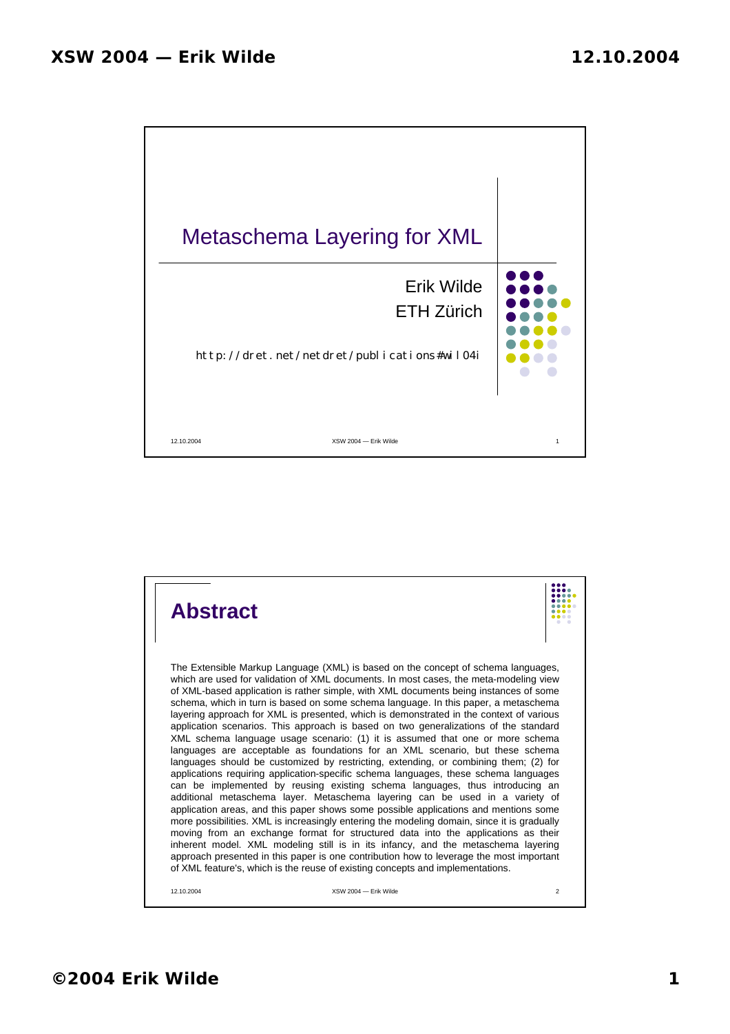

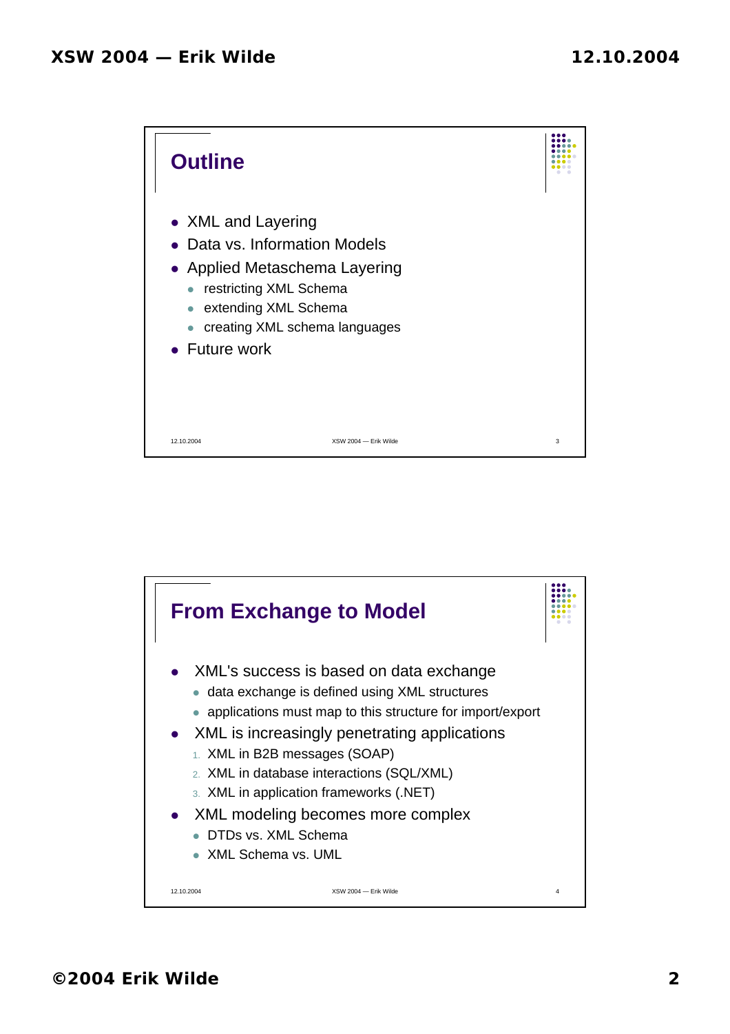

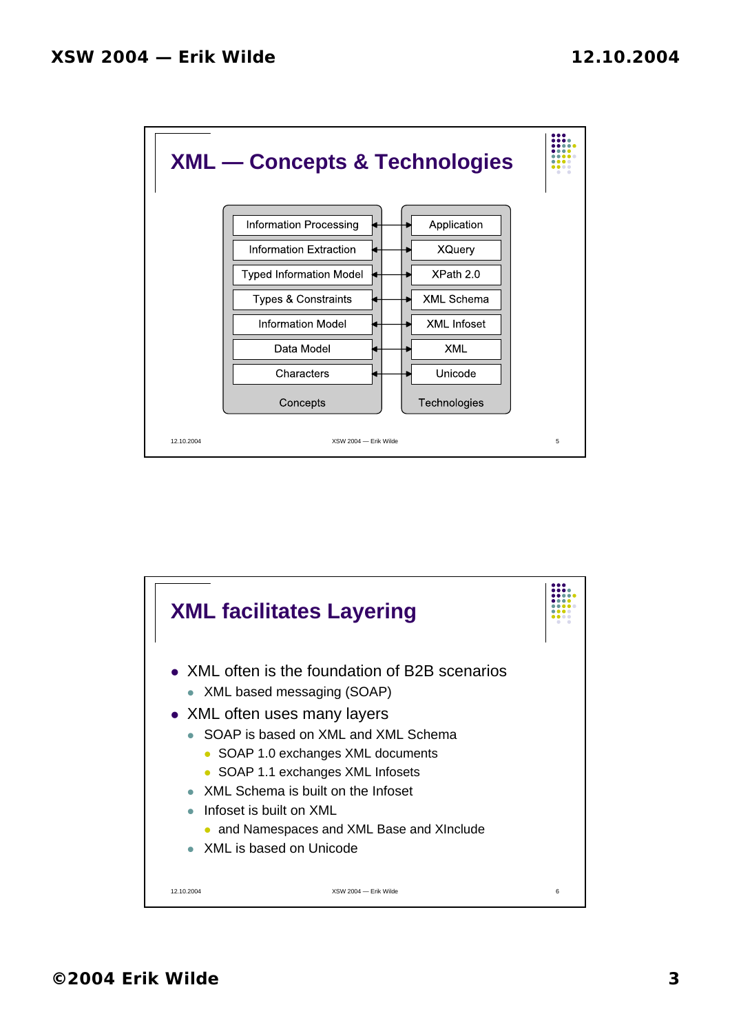

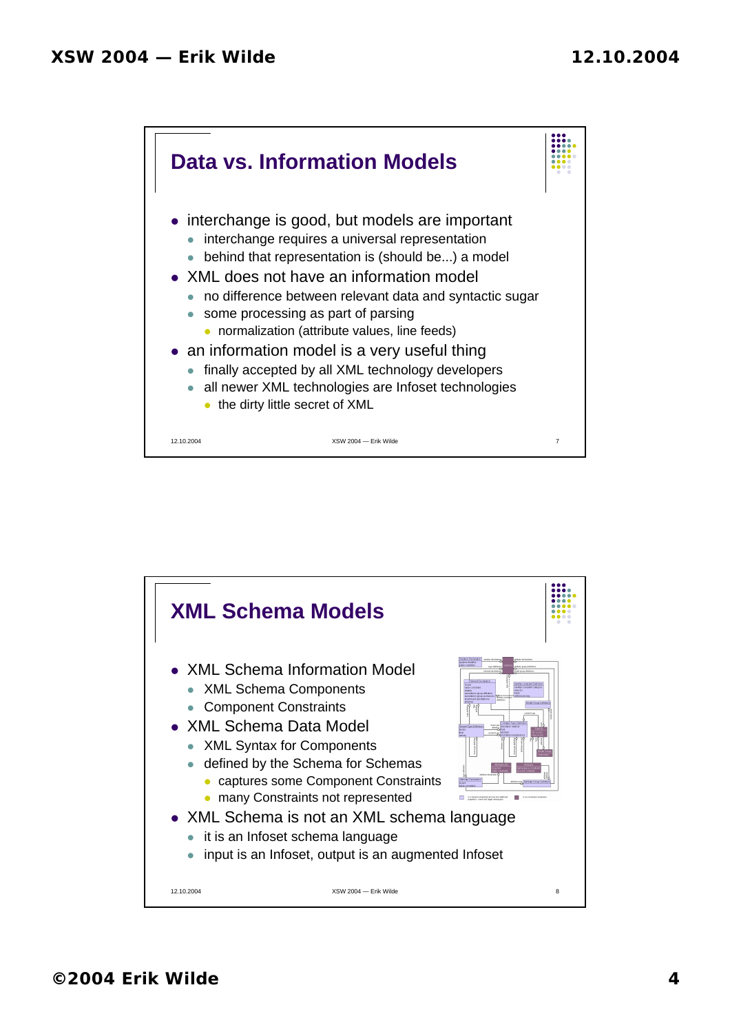

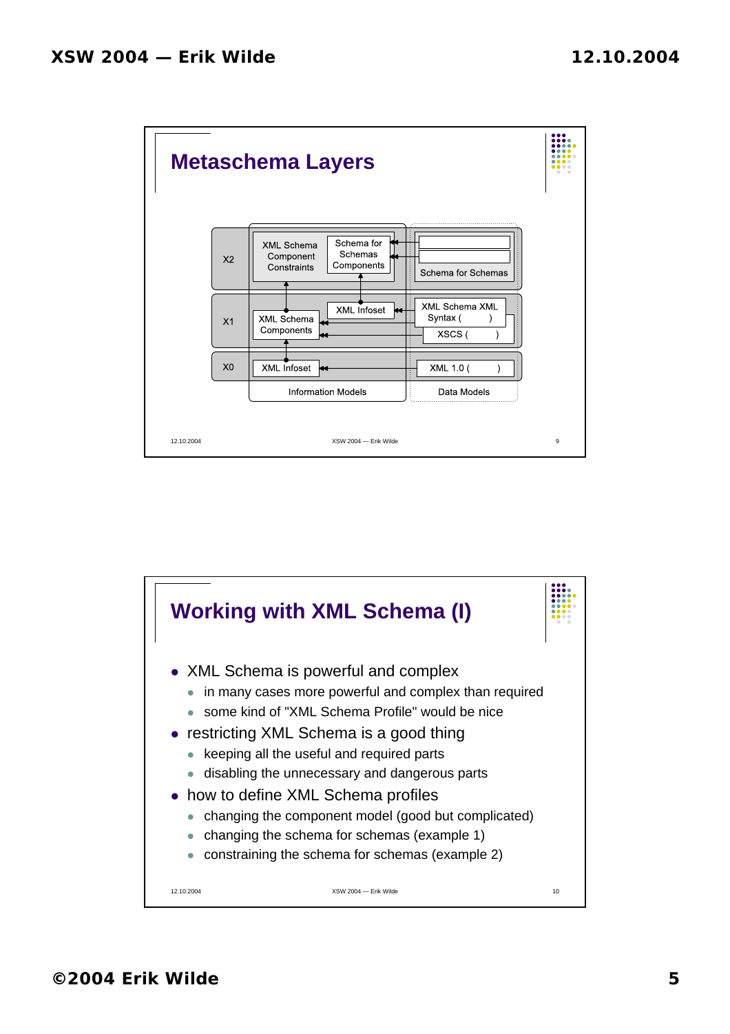

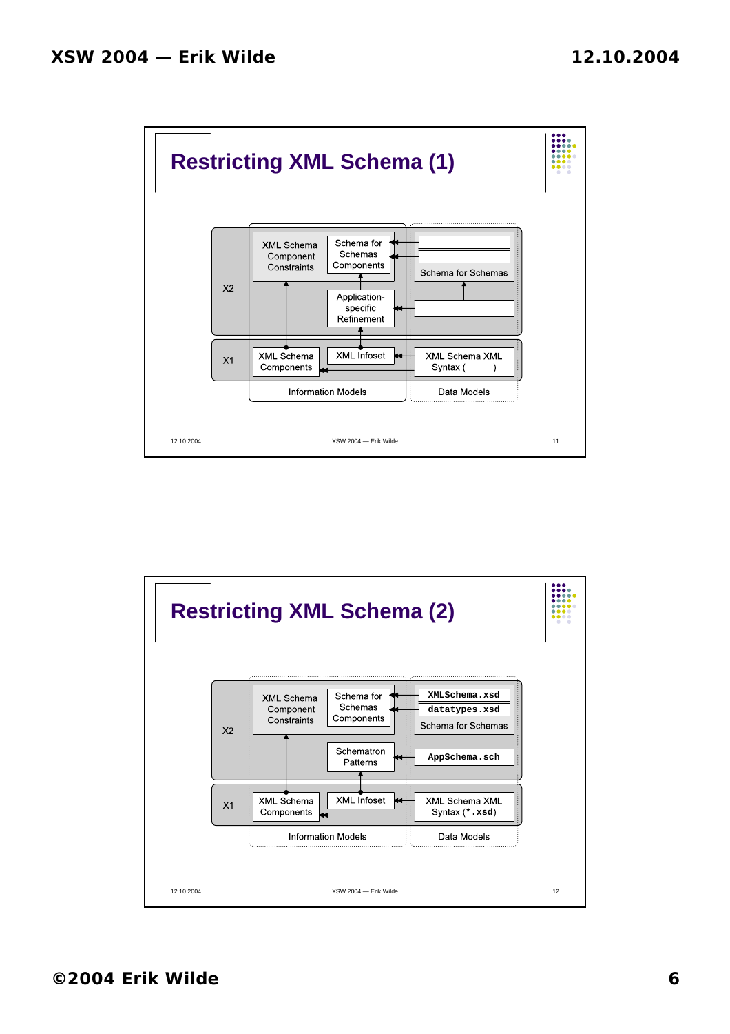

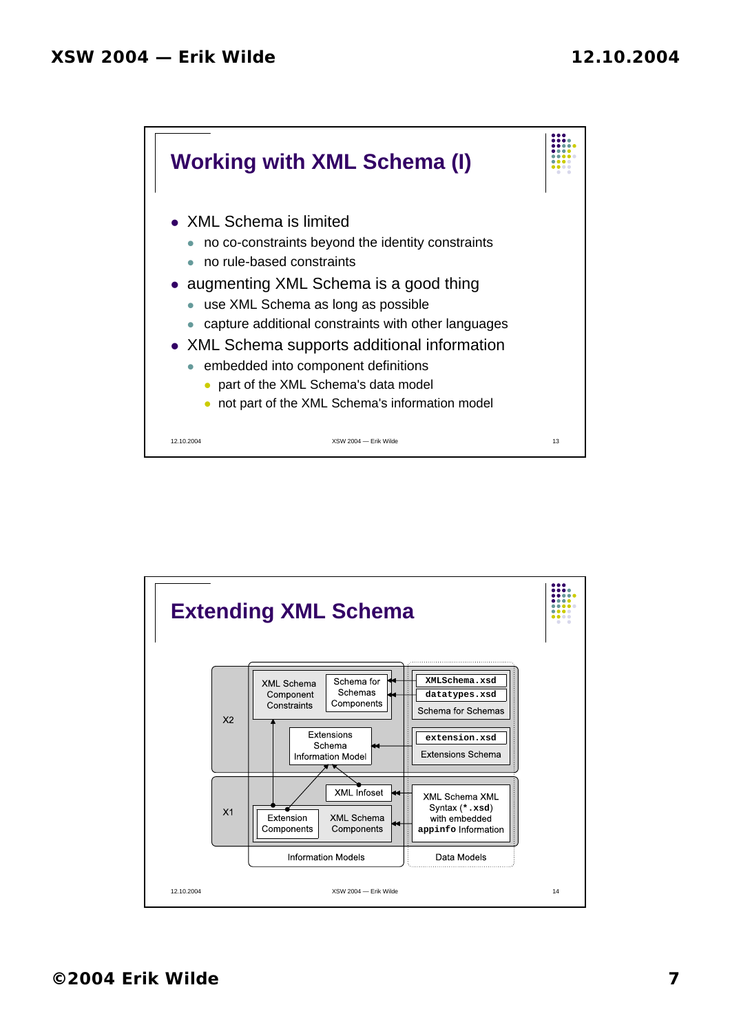

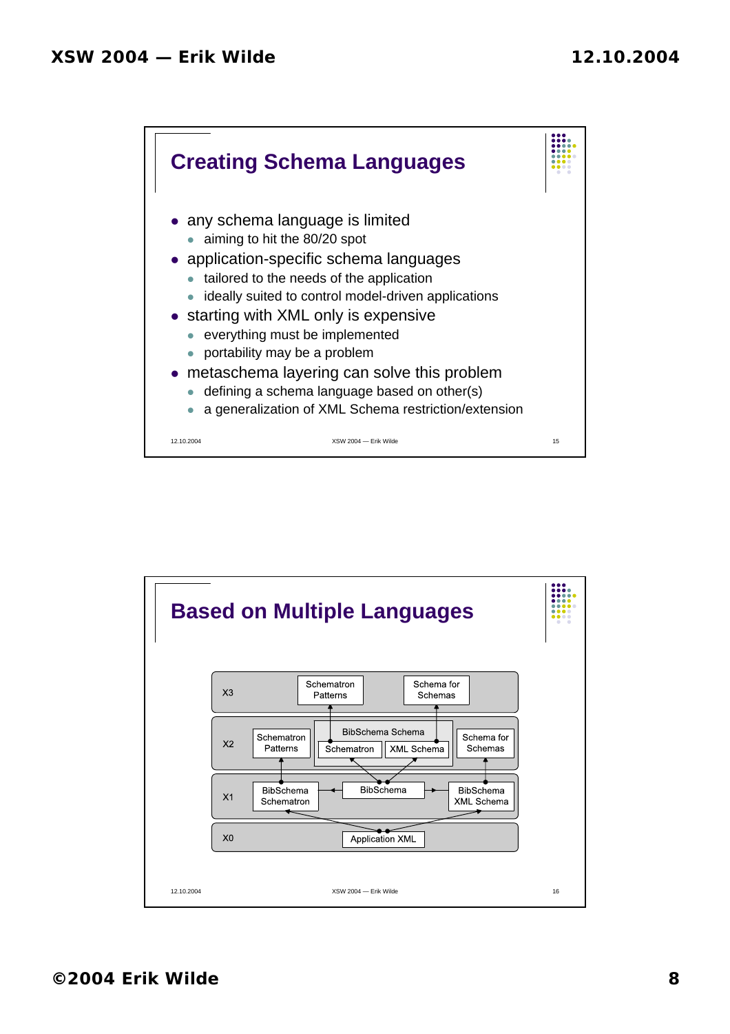